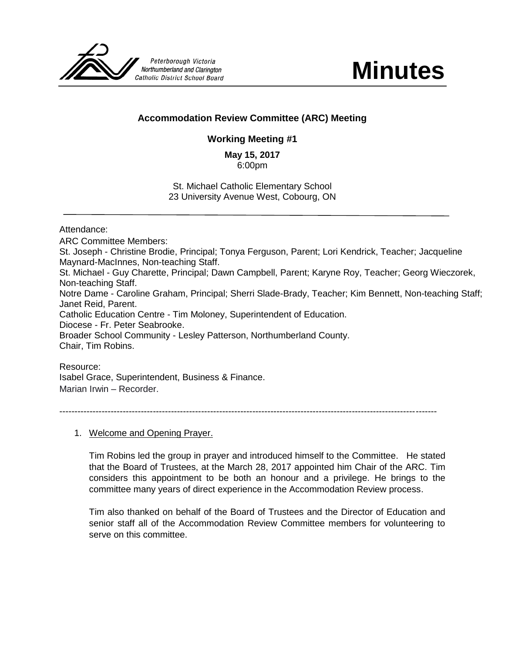

**Minutes**

## **Accommodation Review Committee (ARC) Meeting**

## **Working Meeting #1**

**May 15, 2017** 6:00pm

St. Michael Catholic Elementary School 23 University Avenue West, Cobourg, ON

Attendance:

ARC Committee Members: St. Joseph - Christine Brodie, Principal; Tonya Ferguson, Parent; Lori Kendrick, Teacher; Jacqueline Maynard-MacInnes, Non-teaching Staff. St. Michael - Guy Charette, Principal; Dawn Campbell, Parent; Karyne Roy, Teacher; Georg Wieczorek, Non-teaching Staff. Notre Dame - Caroline Graham, Principal; Sherri Slade-Brady, Teacher; Kim Bennett, Non-teaching Staff; Janet Reid, Parent. Catholic Education Centre - Tim Moloney, Superintendent of Education. Diocese - Fr. Peter Seabrooke. Broader School Community - Lesley Patterson, Northumberland County. Chair, Tim Robins.

Resource:

Isabel Grace, Superintendent, Business & Finance. Marian Irwin – Recorder.

-----------------------------------------------------------------------------------------------------------------------------

1. Welcome and Opening Prayer.

Tim Robins led the group in prayer and introduced himself to the Committee. He stated that the Board of Trustees, at the March 28, 2017 appointed him Chair of the ARC. Tim considers this appointment to be both an honour and a privilege. He brings to the committee many years of direct experience in the Accommodation Review process.

Tim also thanked on behalf of the Board of Trustees and the Director of Education and senior staff all of the Accommodation Review Committee members for volunteering to serve on this committee.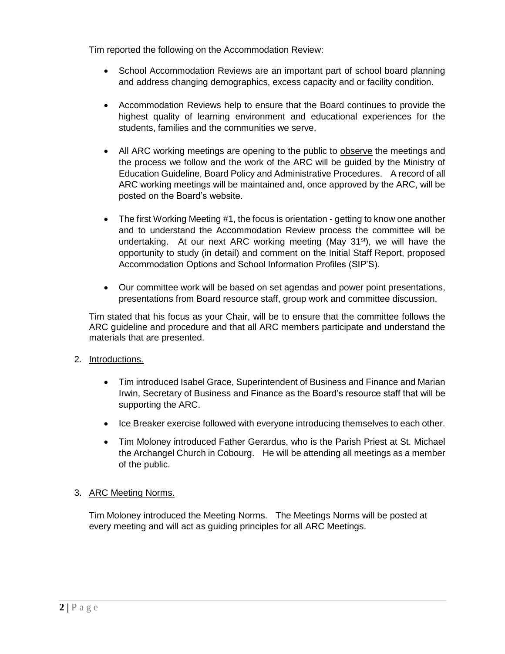Tim reported the following on the Accommodation Review:

- School Accommodation Reviews are an important part of school board planning and address changing demographics, excess capacity and or facility condition.
- Accommodation Reviews help to ensure that the Board continues to provide the highest quality of learning environment and educational experiences for the students, families and the communities we serve.
- All ARC working meetings are opening to the public to observe the meetings and the process we follow and the work of the ARC will be guided by the Ministry of Education Guideline, Board Policy and Administrative Procedures. A record of all ARC working meetings will be maintained and, once approved by the ARC, will be posted on the Board's website.
- The first Working Meeting #1, the focus is orientation getting to know one another and to understand the Accommodation Review process the committee will be undertaking. At our next ARC working meeting (May  $31^{st}$ ), we will have the opportunity to study (in detail) and comment on the Initial Staff Report, proposed Accommodation Options and School Information Profiles (SIP'S).
- Our committee work will be based on set agendas and power point presentations, presentations from Board resource staff, group work and committee discussion.

Tim stated that his focus as your Chair, will be to ensure that the committee follows the ARC guideline and procedure and that all ARC members participate and understand the materials that are presented.

## 2. Introductions.

- Tim introduced Isabel Grace, Superintendent of Business and Finance and Marian Irwin, Secretary of Business and Finance as the Board's resource staff that will be supporting the ARC.
- Ice Breaker exercise followed with everyone introducing themselves to each other.
- Tim Moloney introduced Father Gerardus, who is the Parish Priest at St. Michael the Archangel Church in Cobourg. He will be attending all meetings as a member of the public.

## 3. ARC Meeting Norms.

Tim Moloney introduced the Meeting Norms. The Meetings Norms will be posted at every meeting and will act as guiding principles for all ARC Meetings.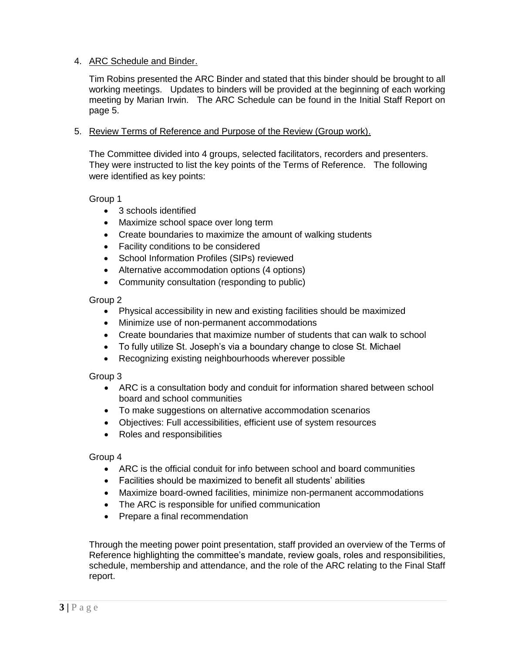### 4. ARC Schedule and Binder.

Tim Robins presented the ARC Binder and stated that this binder should be brought to all working meetings. Updates to binders will be provided at the beginning of each working meeting by Marian Irwin. The ARC Schedule can be found in the Initial Staff Report on page 5.

#### 5. Review Terms of Reference and Purpose of the Review (Group work).

The Committee divided into 4 groups, selected facilitators, recorders and presenters. They were instructed to list the key points of the Terms of Reference. The following were identified as key points:

Group 1

- 3 schools identified
- Maximize school space over long term
- Create boundaries to maximize the amount of walking students
- Facility conditions to be considered
- School Information Profiles (SIPs) reviewed
- Alternative accommodation options (4 options)
- Community consultation (responding to public)

Group 2

- Physical accessibility in new and existing facilities should be maximized
- Minimize use of non-permanent accommodations
- Create boundaries that maximize number of students that can walk to school
- To fully utilize St. Joseph's via a boundary change to close St. Michael
- Recognizing existing neighbourhoods wherever possible

#### Group 3

- ARC is a consultation body and conduit for information shared between school board and school communities
- To make suggestions on alternative accommodation scenarios
- Objectives: Full accessibilities, efficient use of system resources
- Roles and responsibilities

#### Group 4

- ARC is the official conduit for info between school and board communities
- Facilities should be maximized to benefit all students' abilities
- Maximize board-owned facilities, minimize non-permanent accommodations
- The ARC is responsible for unified communication
- Prepare a final recommendation

Through the meeting power point presentation, staff provided an overview of the Terms of Reference highlighting the committee's mandate, review goals, roles and responsibilities, schedule, membership and attendance, and the role of the ARC relating to the Final Staff report.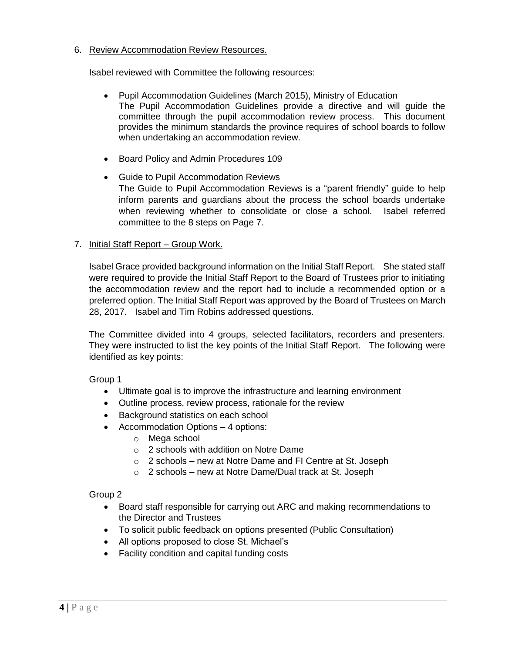### 6. Review Accommodation Review Resources.

Isabel reviewed with Committee the following resources:

- Pupil Accommodation Guidelines (March 2015), Ministry of Education The Pupil Accommodation Guidelines provide a directive and will guide the committee through the pupil accommodation review process. This document provides the minimum standards the province requires of school boards to follow when undertaking an accommodation review.
- Board Policy and Admin Procedures 109
- Guide to Pupil Accommodation Reviews The Guide to Pupil Accommodation Reviews is a "parent friendly" guide to help inform parents and guardians about the process the school boards undertake when reviewing whether to consolidate or close a school. Isabel referred committee to the 8 steps on Page 7.

#### 7. Initial Staff Report – Group Work.

Isabel Grace provided background information on the Initial Staff Report. She stated staff were required to provide the Initial Staff Report to the Board of Trustees prior to initiating the accommodation review and the report had to include a recommended option or a preferred option. The Initial Staff Report was approved by the Board of Trustees on March 28, 2017. Isabel and Tim Robins addressed questions.

The Committee divided into 4 groups, selected facilitators, recorders and presenters. They were instructed to list the key points of the Initial Staff Report. The following were identified as key points:

Group 1

- Ultimate goal is to improve the infrastructure and learning environment
- Outline process, review process, rationale for the review
- Background statistics on each school
- Accommodation Options 4 options:
	- o Mega school
	- o 2 schools with addition on Notre Dame
	- o 2 schools new at Notre Dame and FI Centre at St. Joseph
	- o 2 schools new at Notre Dame/Dual track at St. Joseph

Group 2

- Board staff responsible for carrying out ARC and making recommendations to the Director and Trustees
- To solicit public feedback on options presented (Public Consultation)
- All options proposed to close St. Michael's
- Facility condition and capital funding costs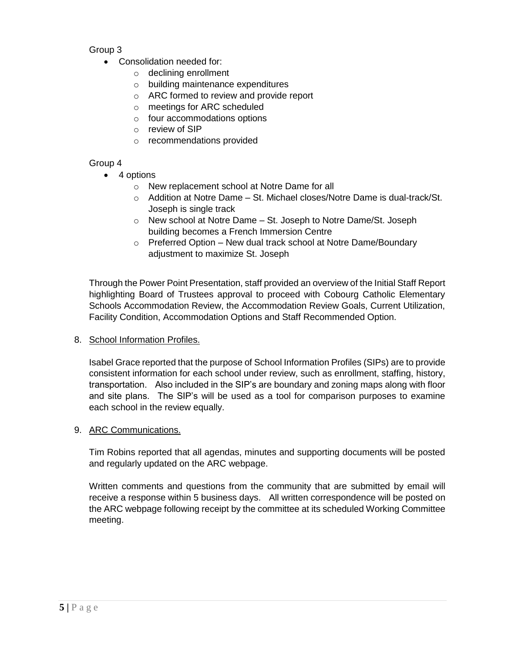## Group 3

- Consolidation needed for:
	- o declining enrollment
	- o building maintenance expenditures
	- o ARC formed to review and provide report
	- o meetings for ARC scheduled
	- o four accommodations options
	- o review of SIP
	- o recommendations provided

# Group 4

- 4 options
	- o New replacement school at Notre Dame for all
	- $\circ$  Addition at Notre Dame St. Michael closes/Notre Dame is dual-track/St. Joseph is single track
	- o New school at Notre Dame St. Joseph to Notre Dame/St. Joseph building becomes a French Immersion Centre
	- o Preferred Option New dual track school at Notre Dame/Boundary adjustment to maximize St. Joseph

Through the Power Point Presentation, staff provided an overview of the Initial Staff Report highlighting Board of Trustees approval to proceed with Cobourg Catholic Elementary Schools Accommodation Review, the Accommodation Review Goals, Current Utilization, Facility Condition, Accommodation Options and Staff Recommended Option.

8. School Information Profiles.

Isabel Grace reported that the purpose of School Information Profiles (SIPs) are to provide consistent information for each school under review, such as enrollment, staffing, history, transportation. Also included in the SIP's are boundary and zoning maps along with floor and site plans. The SIP's will be used as a tool for comparison purposes to examine each school in the review equally.

## 9. ARC Communications.

Tim Robins reported that all agendas, minutes and supporting documents will be posted and regularly updated on the ARC webpage.

Written comments and questions from the community that are submitted by email will receive a response within 5 business days. All written correspondence will be posted on the ARC webpage following receipt by the committee at its scheduled Working Committee meeting.